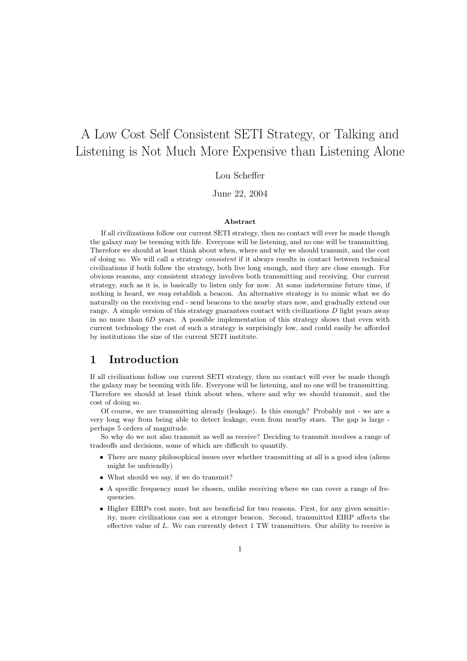# A Low Cost Self Consistent SETI Strategy, or Talking and Listening is Not Much More Expensive than Listening Alone

Lou Scheffer

June 22, 2004

#### Abstract

If all civilizations follow our current SETI strategy, then no contact will ever be made though the galaxy may be teeming with life. Everyone will be listening, and no one will be transmitting. Therefore we should at least think about when, where and why we should transmit, and the cost of doing so. We will call a strategy consistent if it always results in contact between technical civilizations if both follow the strategy, both live long enough, and they are close enough. For obvious reasons, any consistent strategy involves both transmitting and receiving. Our current strategy, such as it is, is basically to listen only for now. At some indetermine future time, if nothing is heard, we may establish a beacon. An alternative strategy is to mimic what we do naturally on the receiving end - send beacons to the nearby stars now, and gradually extend our range. A simple version of this strategy guarantees contact with civilizations  $D$  light years away in no more than  $6D$  years. A possible implementation of this strategy shows that even with current technology the cost of such a strategy is surprisingly low, and could easily be afforded by institutions the size of the current SETI institute.

## 1 Introduction

If all civilizations follow our current SETI strategy, then no contact will ever be made though the galaxy may be teeming with life. Everyone will be listening, and no one will be transmitting. Therefore we should at least think about when, where and why we should transmit, and the cost of doing so.

Of course, we are transmitting already (leakage). Is this enough? Probably not - we are a very long way from being able to detect leakage, even from nearby stars. The gap is large perhaps 5 orders of magnitude.

So why do we not also transmit as well as receive? Deciding to transmit involves a range of tradeoffs and decisions, some of which are difficult to quantify.

- There are many philosophical issues over whether transmitting at all is a good idea (aliens might be unfriendly)
- What should we say, if we do transmit?
- A specific frequency must be chosen, unlike receiving where we can cover a range of frequencies.
- Higher EIRPs cost more, but are beneficial for two reasons. First, for any given sensitivity, more civilizations can see a stronger beacon. Second, transmitted EIRP affects the effective value of L. We can currently detect 1 TW transmitters. Our ability to receive is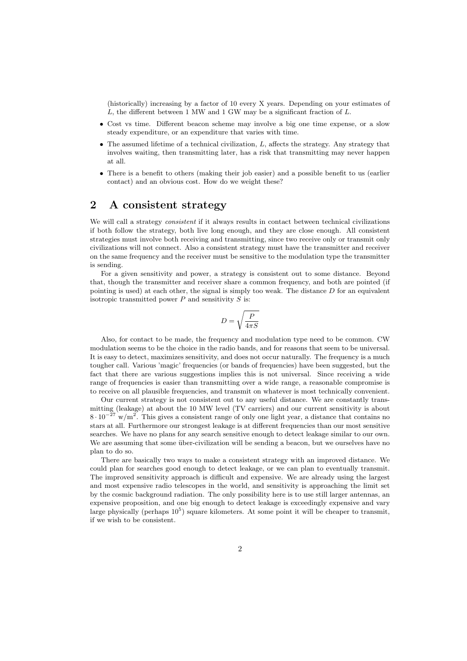(historically) increasing by a factor of 10 every X years. Depending on your estimates of  $L$ , the different between 1 MW and 1 GW may be a significant fraction of  $L$ .

- Cost vs time. Different beacon scheme may involve a big one time expense, or a slow steady expenditure, or an expenditure that varies with time.
- $\bullet$  The assumed lifetime of a technical civilization,  $L$ , affects the strategy. Any strategy that involves waiting, then transmitting later, has a risk that transmitting may never happen at all.
- There is a benefit to others (making their job easier) and a possible benefit to us (earlier contact) and an obvious cost. How do we weight these?

# 2 A consistent strategy

We will call a strategy *consistent* if it always results in contact between technical civilizations if both follow the strategy, both live long enough, and they are close enough. All consistent strategies must involve both receiving and transmitting, since two receive only or transmit only civilizations will not connect. Also a consistent strategy must have the transmitter and receiver on the same frequency and the receiver must be sensitive to the modulation type the transmitter is sending.

For a given sensitivity and power, a strategy is consistent out to some distance. Beyond that, though the transmitter and receiver share a common frequency, and both are pointed (if pointing is used) at each other, the signal is simply too weak. The distance  $D$  for an equivalent isotropic transmitted power  $P$  and sensitivity  $S$  is:

$$
D=\sqrt{\frac{P}{4\pi S}}
$$

Also, for contact to be made, the frequency and modulation type need to be common. CW modulation seems to be the choice in the radio bands, and for reasons that seem to be universal. It is easy to detect, maximizes sensitivity, and does not occur naturally. The frequency is a much tougher call. Various 'magic' frequencies (or bands of frequencies) have been suggested, but the fact that there are various suggestions implies this is not universal. Since receiving a wide range of frequencies is easier than transmitting over a wide range, a reasonable compromise is to receive on all plausible frequencies, and transmit on whatever is most technically convenient.

Our current strategy is not consistent out to any useful distance. We are constantly transmitting (leakage) at about the 10 MW level (TV carriers) and our current sensitivity is about  $8 \cdot 10^{-27}$  w/m<sup>2</sup>. This gives a consistent range of only one light year, a distance that contains no stars at all. Furthermore our strongest leakage is at different frequencies than our most sensitive searches. We have no plans for any search sensitive enough to detect leakage similar to our own. We are assuming that some über-civilization will be sending a beacon, but we ourselves have no plan to do so.

There are basically two ways to make a consistent strategy with an improved distance. We could plan for searches good enough to detect leakage, or we can plan to eventually transmit. The improved sensitivity approach is difficult and expensive. We are already using the largest and most expensive radio telescopes in the world, and sensitivity is approaching the limit set by the cosmic background radiation. The only possibility here is to use still larger antennas, an expensive proposition, and one big enough to detect leakage is exceedingly expensive and vary large physically (perhaps  $10^5$ ) square kilometers. At some point it will be cheaper to transmit, if we wish to be consistent.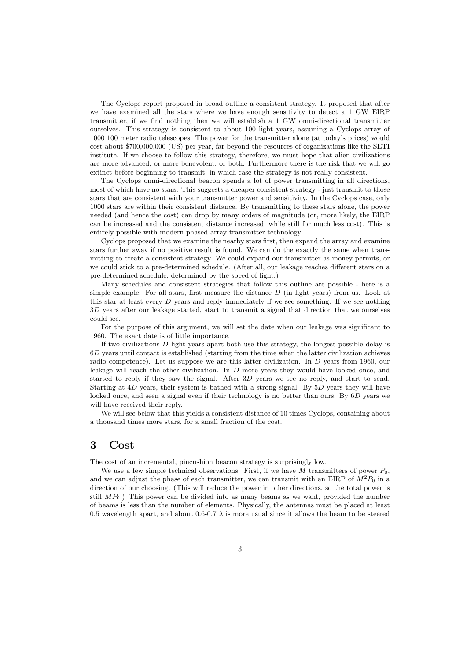The Cyclops report proposed in broad outline a consistent strategy. It proposed that after we have examined all the stars where we have enough sensitivity to detect a 1 GW EIRP transmitter, if we find nothing then we will establish a 1 GW omni-directional transmitter ourselves. This strategy is consistent to about 100 light years, assuming a Cyclops array of 1000 100 meter radio telescopes. The power for the transmitter alone (at today's prices) would cost about \$700,000,000 (US) per year, far beyond the resources of organizations like the SETI institute. If we choose to follow this strategy, therefore, we must hope that alien civilizations are more advanced, or more benevolent, or both. Furthermore there is the risk that we will go extinct before beginning to transmit, in which case the strategy is not really consistent.

The Cyclops omni-directional beacon spends a lot of power transmitting in all directions, most of which have no stars. This suggests a cheaper consistent strategy - just transmit to those stars that are consistent with your transmitter power and sensitivity. In the Cyclops case, only 1000 stars are within their consistent distance. By transmitting to these stars alone, the power needed (and hence the cost) can drop by many orders of magnitude (or, more likely, the EIRP can be increased and the consistent distance increased, while still for much less cost). This is entirely possible with modern phased array transmitter technology.

Cyclops proposed that we examine the nearby stars first, then expand the array and examine stars further away if no positive result is found. We can do the exactly the same when transmitting to create a consistent strategy. We could expand our transmitter as money permits, or we could stick to a pre-determined schedule. (After all, our leakage reaches different stars on a pre-determined schedule, determined by the speed of light.)

Many schedules and consistent strategies that follow this outline are possible - here is a simple example. For all stars, first measure the distance  $D$  (in light years) from us. Look at this star at least every  $D$  years and reply immediately if we see something. If we see nothing 3D years after our leakage started, start to transmit a signal that direction that we ourselves could see.

For the purpose of this argument, we will set the date when our leakage was significant to 1960. The exact date is of little importance.

If two civilizations  $D$  light years apart both use this strategy, the longest possible delay is 6D years until contact is established (starting from the time when the latter civilization achieves radio competence). Let us suppose we are this latter civilization. In D years from 1960, our leakage will reach the other civilization. In D more years they would have looked once, and started to reply if they saw the signal. After 3D years we see no reply, and start to send. Starting at 4D years, their system is bathed with a strong signal. By 5D years they will have looked once, and seen a signal even if their technology is no better than ours. By 6D years we will have received their reply.

We will see below that this yields a consistent distance of 10 times Cyclops, containing about a thousand times more stars, for a small fraction of the cost.

## 3 Cost

The cost of an incremental, pincushion beacon strategy is surprisingly low.

We use a few simple technical observations. First, if we have M transmitters of power  $P_0$ . and we can adjust the phase of each transmitter, we can transmit with an EIRP of  $M^2P_0$  in a direction of our choosing. (This will reduce the power in other directions, so the total power is still  $MP_0$ .) This power can be divided into as many beams as we want, provided the number of beams is less than the number of elements. Physically, the antennas must be placed at least 0.5 wavelength apart, and about 0.6-0.7  $\lambda$  is more usual since it allows the beam to be steered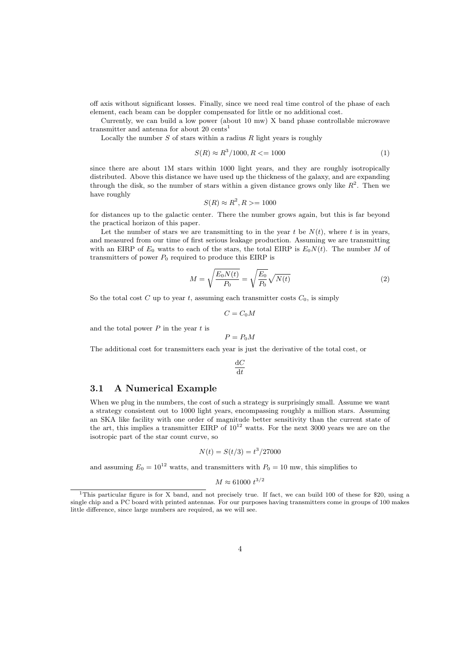off axis without significant losses. Finally, since we need real time control of the phase of each element, each beam can be doppler compensated for little or no additional cost.

Currently, we can build a low power (about 10 mw) X band phase controllable microwave transmitter and antenna for about 20 cents<sup>1</sup>

Locally the number  $S$  of stars within a radius  $R$  light years is roughly

$$
S(R) \approx R^3/1000, R \le 1000
$$
 (1)

since there are about 1M stars within 1000 light years, and they are roughly isotropically distributed. Above this distance we have used up the thickness of the galaxy, and are expanding through the disk, so the number of stars within a given distance grows only like  $R^2$ . Then we have roughly

$$
S(R) \approx R^2, R \ge 1000
$$

for distances up to the galactic center. There the number grows again, but this is far beyond the practical horizon of this paper.

Let the number of stars we are transmitting to in the year t be  $N(t)$ , where t is in years, and measured from our time of first serious leakage production. Assuming we are transmitting with an EIRP of  $E_0$  watts to each of the stars, the total EIRP is  $E_0N(t)$ . The number M of transmitters of power  $P_0$  required to produce this EIRP is

$$
M = \sqrt{\frac{E_0 N(t)}{P_0}} = \sqrt{\frac{E_0}{P_0}} \sqrt{N(t)}
$$
\n(2)

So the total cost C up to year t, assuming each transmitter costs  $C_0$ , is simply

$$
C=C_0M
$$

and the total power  $P$  in the year  $t$  is

$$
P = P_0 M
$$

The additional cost for transmitters each year is just the derivative of the total cost, or

$$
\frac{\mathrm{d}C}{\mathrm{d}t}
$$

#### 3.1 A Numerical Example

When we plug in the numbers, the cost of such a strategy is surprisingly small. Assume we want a strategy consistent out to 1000 light years, encompassing roughly a million stars. Assuming an SKA like facility with one order of magnitude better sensitivity than the current state of the art, this implies a transmitter EIRP of  $10^{12}$  watts. For the next 3000 years we are on the isotropic part of the star count curve, so

$$
N(t) = S(t/3) = t^3/27000
$$

and assuming  $E_0 = 10^{12}$  watts, and transmitters with  $P_0 = 10$  mw, this simplifies to

$$
M \approx 61000 \ t^{3/2}
$$

<sup>&</sup>lt;sup>1</sup>This particular figure is for X band, and not precisely true. If fact, we can build 100 of these for \$20, using a single chip and a PC board with printed antennas. For our purposes having transmitters come in groups of 100 makes little difference, since large numbers are required, as we will see.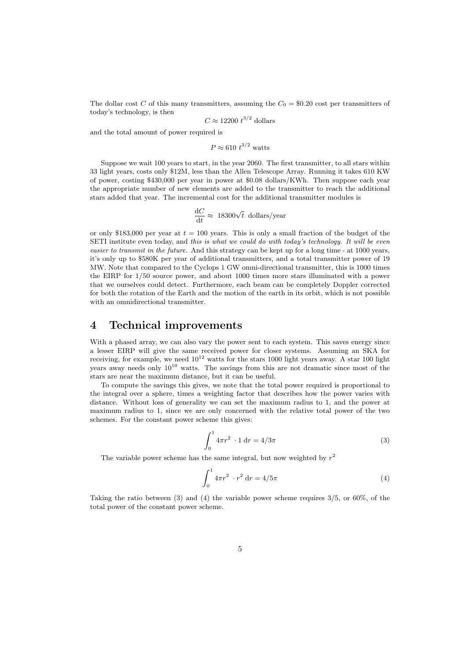The dollar cost C of this many transmitters, assuming the  $C_0 = $0.20$  cost per transmitters of today's technology, is then

$$
C \approx 12200 \ t^{3/2}
$$
 dollars

and the total amount of power required is

$$
P \approx 610 \ t^{3/2} \ \text{watts}
$$

Suppose we wait 100 years to start, in the year 2060. The first transmitter, to all stars within 33 light years, costs only \$12M, less than the Allen Telescope Array. Running it takes 610 KW of power, costing \$430,000 per year in power at \$0.08 dollars/KWh. Then suppose each year the appropriate number of new elements are added to the transmitter to reach the additional stars added that year. The incremental cost for the additional transmitter modules is

$$
\frac{\mathrm{d} C}{\mathrm{d} t} \approx \ 18300 \sqrt{t} \ \mathrm{dollars/year}
$$

or only \$183,000 per year at  $t = 100$  years. This is only a small fraction of the budget of the SETI institute even today, and this is what we could do with today's technology. It will be even easier to transmit in the future. And this strategy can be kept up for a long time - at 1000 years, it's only up to \$580K per year of additional transmitters, and a total transmitter power of 19 MW. Note that compared to the Cyclops 1 GW omni-directional transmitter, this is 1000 times the EIRP for 1/50 source power, and about 1000 times more stars illuminated with a power that we ourselves could detect. Furthermore, each beam can be completely Doppler corrected for both the rotation of the Earth and the motion of the earth in its orbit, which is not possible with an omnidirectional transmitter.

## 4 Technical improvements

With a phased array, we can also vary the power sent to each system. This saves energy since a lesser EIRP will give the same received power for closer systems. Assuming an SKA for receiving, for example, we need  $10^{12}$  watts for the stars 1000 light years away. A star 100 light years away needs only  $10^{10}$  watts. The savings from this are not dramatic since most of the stars are near the maximum distance, but it can be useful.

To compute the savings this gives, we note that the total power required is proportional to the integral over a sphere, times a weighting factor that describes how the power varies with distance. Without loss of generality we can set the maximum radius to 1, and the power at maximum radius to 1, since we are only concerned with the relative total power of the two schemes. For the constant power scheme this gives:

$$
\int_0^1 4\pi r^2 \cdot 1 \, dr = 4/3\pi \tag{3}
$$

The variable power scheme has the same integral, but now weighted by  $r^2$ 

$$
\int_0^1 4\pi r^2 \cdot r^2 \, dr = 4/5\pi \tag{4}
$$

Taking the ratio between (3) and (4) the variable power scheme requires  $3/5$ , or  $60\%$ , of the total power of the constant power scheme.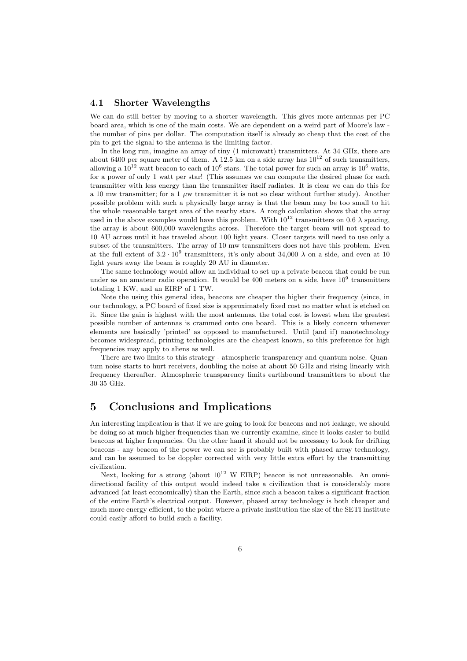### 4.1 Shorter Wavelengths

We can do still better by moving to a shorter wavelength. This gives more antennas per PC board area, which is one of the main costs. We are dependent on a weird part of Moore's law the number of pins per dollar. The computation itself is already so cheap that the cost of the pin to get the signal to the antenna is the limiting factor.

In the long run, imagine an array of tiny (1 microwatt) transmitters. At 34 GHz, there are about 6400 per square meter of them. A 12.5 km on a side array has  $10^{12}$  of such transmitters, allowing a  $10^{12}$  watt beacon to each of  $10^6$  stars. The total power for such an array is  $10^6$  watts, for a power of only 1 watt per star! (This assumes we can compute the desired phase for each transmitter with less energy than the transmitter itself radiates. It is clear we can do this for a 10 mw transmitter; for a 1  $\mu$ w transmitter it is not so clear without further study). Another possible problem with such a physically large array is that the beam may be too small to hit the whole reasonable target area of the nearby stars. A rough calculation shows that the array used in the above examples would have this problem. With  $10^{12}$  transmitters on 0.6  $\lambda$  spacing, the array is about 600,000 wavelengths across. Therefore the target beam will not spread to 10 AU across until it has traveled about 100 light years. Closer targets will need to use only a subset of the transmitters. The array of 10 mw transmitters does not have this problem. Even at the full extent of  $3.2 \cdot 10^9$  transmitters, it's only about 34,000  $\lambda$  on a side, and even at 10 light years away the beam is roughly 20 AU in diameter.

The same technology would allow an individual to set up a private beacon that could be run under as an amateur radio operation. It would be 400 meters on a side, have  $10^9$  transmitters totaling 1 KW, and an EIRP of 1 TW.

Note the using this general idea, beacons are cheaper the higher their frequency (since, in our technology, a PC board of fixed size is approximately fixed cost no matter what is etched on it. Since the gain is highest with the most antennas, the total cost is lowest when the greatest possible number of antennas is crammed onto one board. This is a likely concern whenever elements are basically 'printed' as opposed to manufactured. Until (and if) nanotechnology becomes widespread, printing technologies are the cheapest known, so this preference for high frequencies may apply to aliens as well.

There are two limits to this strategy - atmospheric transparency and quantum noise. Quantum noise starts to hurt receivers, doubling the noise at about 50 GHz and rising linearly with frequency thereafter. Atmospheric transparency limits earthbound transmitters to about the 30-35 GHz.

# 5 Conclusions and Implications

An interesting implication is that if we are going to look for beacons and not leakage, we should be doing so at much higher frequencies than we currently examine, since it looks easier to build beacons at higher frequencies. On the other hand it should not be necessary to look for drifting beacons - any beacon of the power we can see is probably built with phased array technology, and can be assumed to be doppler corrected with very little extra effort by the transmitting civilization.

Next, looking for a strong (about  $10^{12}$  W EIRP) beacon is not unreasonable. An omnidirectional facility of this output would indeed take a civilization that is considerably more advanced (at least economically) than the Earth, since such a beacon takes a significant fraction of the entire Earth's electrical output. However, phased array technology is both cheaper and much more energy efficient, to the point where a private institution the size of the SETI institute could easily afford to build such a facility.